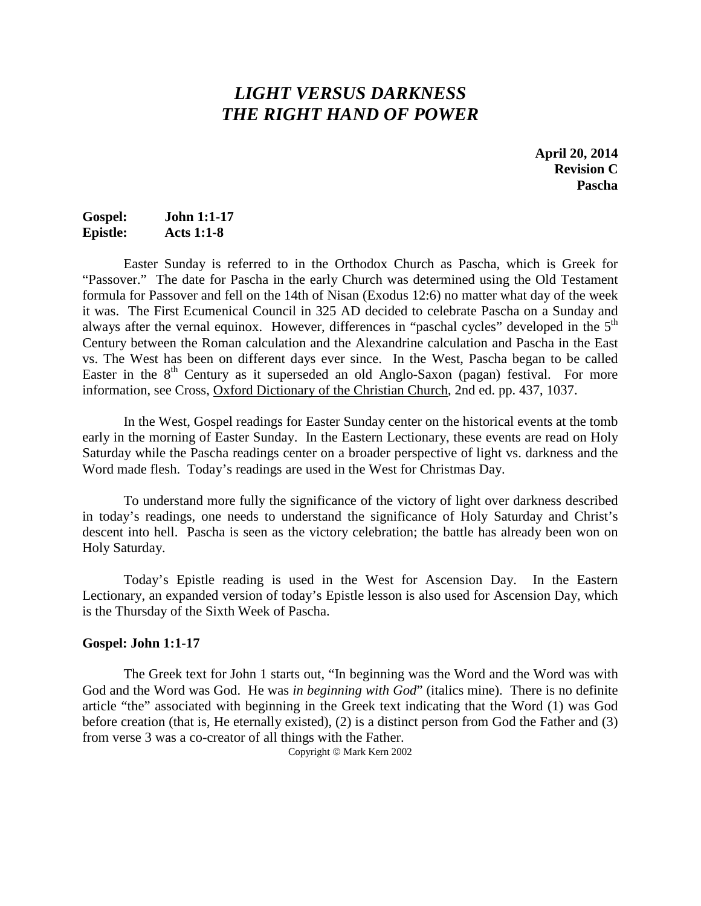# *LIGHT VERSUS DARKNESS THE RIGHT HAND OF POWER*

**April 20, 2014 Revision C Pascha**

## **Gospel: John 1:1-17 Epistle: Acts 1:1-8**

Easter Sunday is referred to in the Orthodox Church as Pascha, which is Greek for "Passover." The date for Pascha in the early Church was determined using the Old Testament formula for Passover and fell on the 14th of Nisan (Exodus 12:6) no matter what day of the week it was. The First Ecumenical Council in 325 AD decided to celebrate Pascha on a Sunday and always after the vernal equinox. However, differences in "paschal cycles" developed in the 5<sup>th</sup> Century between the Roman calculation and the Alexandrine calculation and Pascha in the East vs. The West has been on different days ever since. In the West, Pascha began to be called Easter in the  $8<sup>th</sup>$  Century as it superseded an old Anglo-Saxon (pagan) festival. For more information, see Cross, Oxford Dictionary of the Christian Church, 2nd ed. pp. 437, 1037.

In the West, Gospel readings for Easter Sunday center on the historical events at the tomb early in the morning of Easter Sunday. In the Eastern Lectionary, these events are read on Holy Saturday while the Pascha readings center on a broader perspective of light vs. darkness and the Word made flesh. Today's readings are used in the West for Christmas Day.

To understand more fully the significance of the victory of light over darkness described in today's readings, one needs to understand the significance of Holy Saturday and Christ's descent into hell. Pascha is seen as the victory celebration; the battle has already been won on Holy Saturday.

Today's Epistle reading is used in the West for Ascension Day. In the Eastern Lectionary, an expanded version of today's Epistle lesson is also used for Ascension Day, which is the Thursday of the Sixth Week of Pascha.

#### **Gospel: John 1:1-17**

The Greek text for John 1 starts out, "In beginning was the Word and the Word was with God and the Word was God. He was *in beginning with God*" (italics mine). There is no definite article "the" associated with beginning in the Greek text indicating that the Word (1) was God before creation (that is, He eternally existed), (2) is a distinct person from God the Father and (3) from verse 3 was a co-creator of all things with the Father.

Copyright © Mark Kern 2002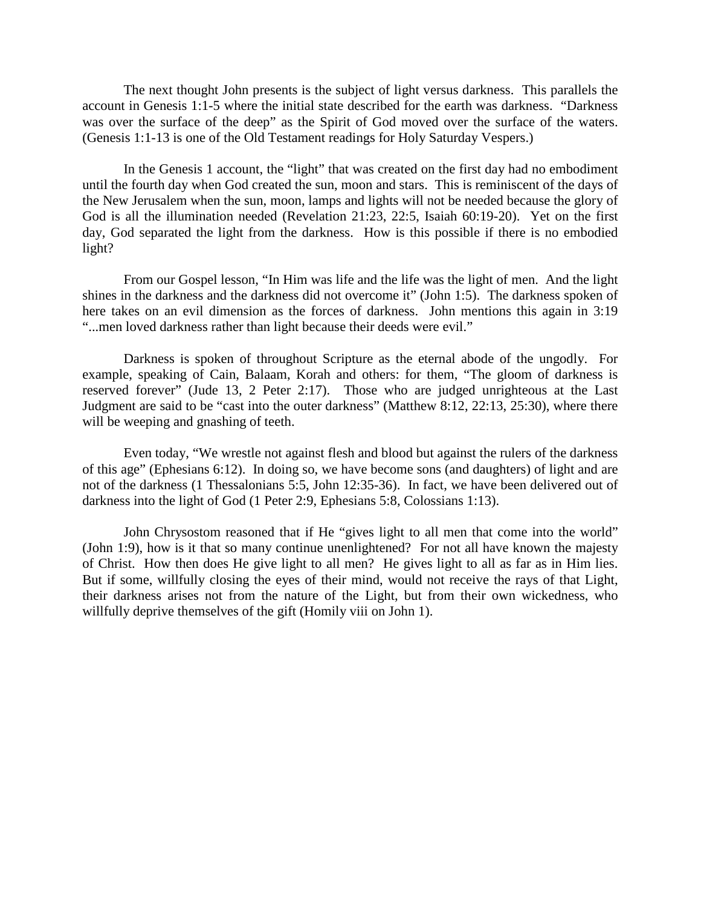The next thought John presents is the subject of light versus darkness. This parallels the account in Genesis 1:1-5 where the initial state described for the earth was darkness. "Darkness was over the surface of the deep" as the Spirit of God moved over the surface of the waters. (Genesis 1:1-13 is one of the Old Testament readings for Holy Saturday Vespers.)

In the Genesis 1 account, the "light" that was created on the first day had no embodiment until the fourth day when God created the sun, moon and stars. This is reminiscent of the days of the New Jerusalem when the sun, moon, lamps and lights will not be needed because the glory of God is all the illumination needed (Revelation 21:23, 22:5, Isaiah 60:19-20). Yet on the first day, God separated the light from the darkness. How is this possible if there is no embodied light?

From our Gospel lesson, "In Him was life and the life was the light of men. And the light shines in the darkness and the darkness did not overcome it" (John 1:5). The darkness spoken of here takes on an evil dimension as the forces of darkness. John mentions this again in 3:19 "...men loved darkness rather than light because their deeds were evil."

Darkness is spoken of throughout Scripture as the eternal abode of the ungodly. For example, speaking of Cain, Balaam, Korah and others: for them, "The gloom of darkness is reserved forever" (Jude 13, 2 Peter 2:17). Those who are judged unrighteous at the Last Judgment are said to be "cast into the outer darkness" (Matthew 8:12, 22:13, 25:30), where there will be weeping and gnashing of teeth.

Even today, "We wrestle not against flesh and blood but against the rulers of the darkness of this age" (Ephesians 6:12). In doing so, we have become sons (and daughters) of light and are not of the darkness (1 Thessalonians 5:5, John 12:35-36). In fact, we have been delivered out of darkness into the light of God (1 Peter 2:9, Ephesians 5:8, Colossians 1:13).

John Chrysostom reasoned that if He "gives light to all men that come into the world" (John 1:9), how is it that so many continue unenlightened? For not all have known the majesty of Christ. How then does He give light to all men? He gives light to all as far as in Him lies. But if some, willfully closing the eyes of their mind, would not receive the rays of that Light, their darkness arises not from the nature of the Light, but from their own wickedness, who willfully deprive themselves of the gift (Homily viii on John 1).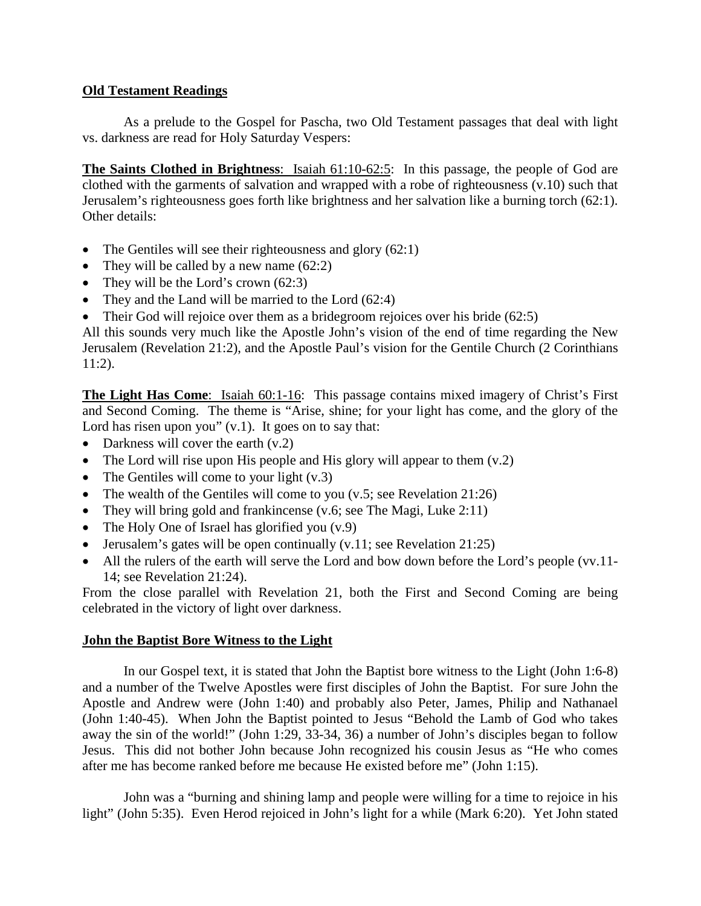## **Old Testament Readings**

As a prelude to the Gospel for Pascha, two Old Testament passages that deal with light vs. darkness are read for Holy Saturday Vespers:

**The Saints Clothed in Brightness**: Isaiah 61:10-62:5: In this passage, the people of God are clothed with the garments of salvation and wrapped with a robe of righteousness (v.10) such that Jerusalem's righteousness goes forth like brightness and her salvation like a burning torch (62:1). Other details:

- The Gentiles will see their righteousness and glory (62:1)
- They will be called by a new name  $(62:2)$
- They will be the Lord's crown (62:3)
- They and the Land will be married to the Lord (62:4)
- Their God will rejoice over them as a bridegroom rejoices over his bride  $(62.5)$

All this sounds very much like the Apostle John's vision of the end of time regarding the New Jerusalem (Revelation 21:2), and the Apostle Paul's vision for the Gentile Church (2 Corinthians 11:2).

**The Light Has Come**: Isaiah 60:1-16: This passage contains mixed imagery of Christ's First and Second Coming. The theme is "Arise, shine; for your light has come, and the glory of the Lord has risen upon you" (v.1). It goes on to say that:

- Darkness will cover the earth (v.2)
- The Lord will rise upon His people and His glory will appear to them  $(v.2)$
- The Gentiles will come to your light  $(v.3)$
- The wealth of the Gentiles will come to you  $(v.5)$ ; see Revelation 21:26)
- They will bring gold and frankincense (v.6; see The Magi, Luke 2:11)
- The Holy One of Israel has glorified you  $(v.9)$
- Jerusalem's gates will be open continually (v.11; see Revelation 21:25)
- All the rulers of the earth will serve the Lord and bow down before the Lord's people (vv.11-14; see Revelation 21:24).

From the close parallel with Revelation 21, both the First and Second Coming are being celebrated in the victory of light over darkness.

# **John the Baptist Bore Witness to the Light**

In our Gospel text, it is stated that John the Baptist bore witness to the Light (John 1:6-8) and a number of the Twelve Apostles were first disciples of John the Baptist. For sure John the Apostle and Andrew were (John 1:40) and probably also Peter, James, Philip and Nathanael (John 1:40-45). When John the Baptist pointed to Jesus "Behold the Lamb of God who takes away the sin of the world!" (John 1:29, 33-34, 36) a number of John's disciples began to follow Jesus. This did not bother John because John recognized his cousin Jesus as "He who comes after me has become ranked before me because He existed before me" (John 1:15).

John was a "burning and shining lamp and people were willing for a time to rejoice in his light" (John 5:35). Even Herod rejoiced in John's light for a while (Mark 6:20). Yet John stated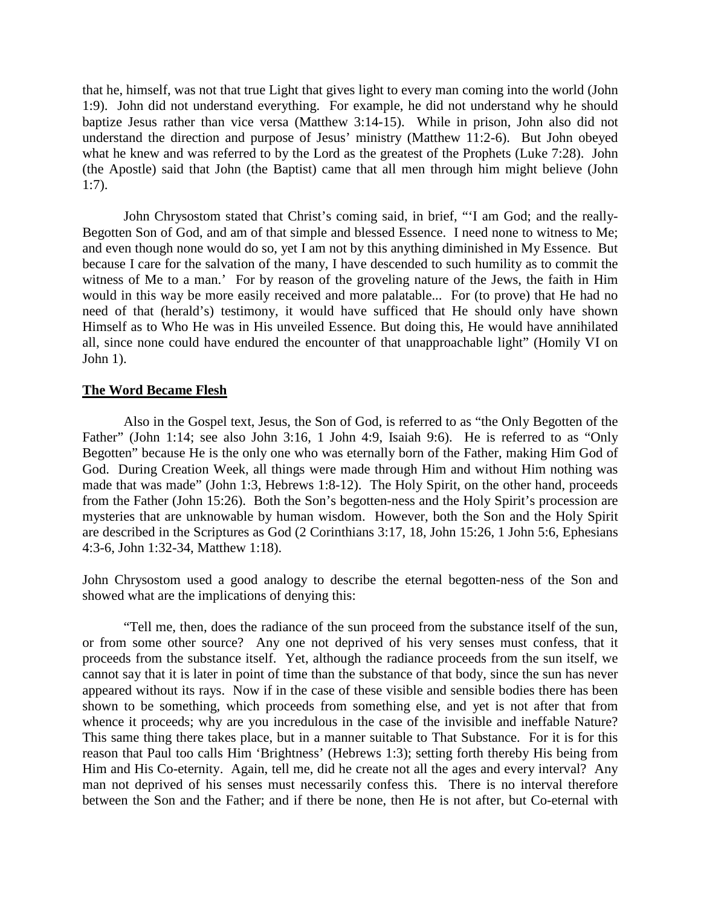that he, himself, was not that true Light that gives light to every man coming into the world (John 1:9). John did not understand everything. For example, he did not understand why he should baptize Jesus rather than vice versa (Matthew 3:14-15). While in prison, John also did not understand the direction and purpose of Jesus' ministry (Matthew 11:2-6). But John obeyed what he knew and was referred to by the Lord as the greatest of the Prophets (Luke 7:28). John (the Apostle) said that John (the Baptist) came that all men through him might believe (John 1:7).

John Chrysostom stated that Christ's coming said, in brief, "'I am God; and the really-Begotten Son of God, and am of that simple and blessed Essence. I need none to witness to Me; and even though none would do so, yet I am not by this anything diminished in My Essence. But because I care for the salvation of the many, I have descended to such humility as to commit the witness of Me to a man.' For by reason of the groveling nature of the Jews, the faith in Him would in this way be more easily received and more palatable... For (to prove) that He had no need of that (herald's) testimony, it would have sufficed that He should only have shown Himself as to Who He was in His unveiled Essence. But doing this, He would have annihilated all, since none could have endured the encounter of that unapproachable light" (Homily VI on John 1).

### **The Word Became Flesh**

Also in the Gospel text, Jesus, the Son of God, is referred to as "the Only Begotten of the Father" (John 1:14; see also John 3:16, 1 John 4:9, Isaiah 9:6). He is referred to as "Only Begotten" because He is the only one who was eternally born of the Father, making Him God of God. During Creation Week, all things were made through Him and without Him nothing was made that was made" (John 1:3, Hebrews 1:8-12). The Holy Spirit, on the other hand, proceeds from the Father (John 15:26). Both the Son's begotten-ness and the Holy Spirit's procession are mysteries that are unknowable by human wisdom. However, both the Son and the Holy Spirit are described in the Scriptures as God (2 Corinthians 3:17, 18, John 15:26, 1 John 5:6, Ephesians 4:3-6, John 1:32-34, Matthew 1:18).

John Chrysostom used a good analogy to describe the eternal begotten-ness of the Son and showed what are the implications of denying this:

"Tell me, then, does the radiance of the sun proceed from the substance itself of the sun, or from some other source? Any one not deprived of his very senses must confess, that it proceeds from the substance itself. Yet, although the radiance proceeds from the sun itself, we cannot say that it is later in point of time than the substance of that body, since the sun has never appeared without its rays. Now if in the case of these visible and sensible bodies there has been shown to be something, which proceeds from something else, and yet is not after that from whence it proceeds; why are you incredulous in the case of the invisible and ineffable Nature? This same thing there takes place, but in a manner suitable to That Substance. For it is for this reason that Paul too calls Him 'Brightness' (Hebrews 1:3); setting forth thereby His being from Him and His Co-eternity. Again, tell me, did he create not all the ages and every interval? Any man not deprived of his senses must necessarily confess this. There is no interval therefore between the Son and the Father; and if there be none, then He is not after, but Co-eternal with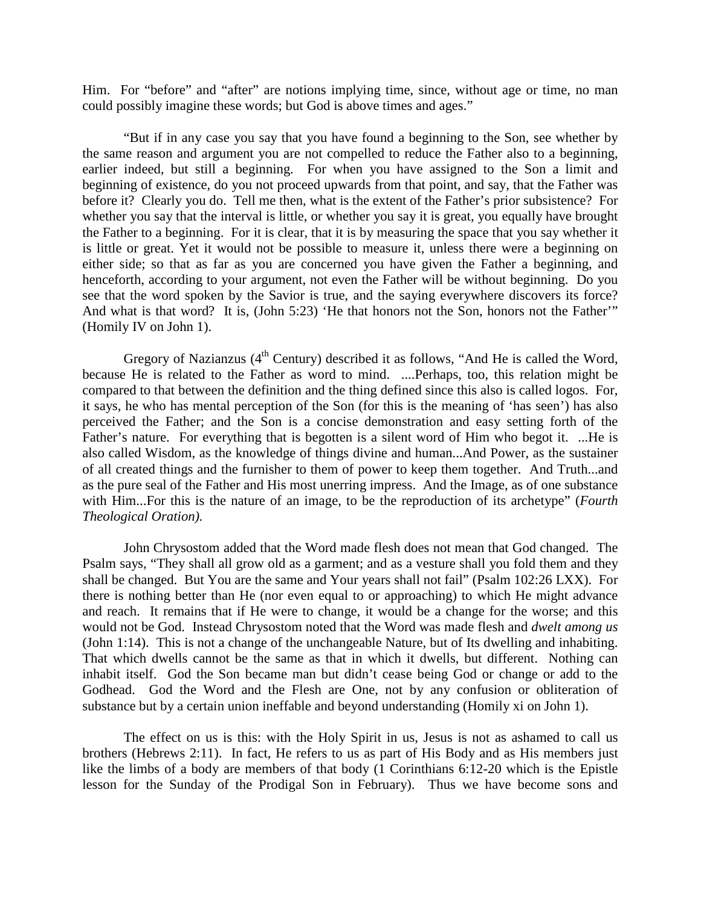Him. For "before" and "after" are notions implying time, since, without age or time, no man could possibly imagine these words; but God is above times and ages."

"But if in any case you say that you have found a beginning to the Son, see whether by the same reason and argument you are not compelled to reduce the Father also to a beginning, earlier indeed, but still a beginning. For when you have assigned to the Son a limit and beginning of existence, do you not proceed upwards from that point, and say, that the Father was before it? Clearly you do. Tell me then, what is the extent of the Father's prior subsistence? For whether you say that the interval is little, or whether you say it is great, you equally have brought the Father to a beginning. For it is clear, that it is by measuring the space that you say whether it is little or great. Yet it would not be possible to measure it, unless there were a beginning on either side; so that as far as you are concerned you have given the Father a beginning, and henceforth, according to your argument, not even the Father will be without beginning. Do you see that the word spoken by the Savior is true, and the saying everywhere discovers its force? And what is that word? It is, (John 5:23) 'He that honors not the Son, honors not the Father'" (Homily IV on John 1).

Gregory of Nazianzus  $(4<sup>th</sup> Century)$  described it as follows, "And He is called the Word, because He is related to the Father as word to mind. ....Perhaps, too, this relation might be compared to that between the definition and the thing defined since this also is called logos. For, it says, he who has mental perception of the Son (for this is the meaning of 'has seen') has also perceived the Father; and the Son is a concise demonstration and easy setting forth of the Father's nature. For everything that is begotten is a silent word of Him who begot it. ...He is also called Wisdom, as the knowledge of things divine and human...And Power, as the sustainer of all created things and the furnisher to them of power to keep them together. And Truth...and as the pure seal of the Father and His most unerring impress. And the Image, as of one substance with Him...For this is the nature of an image, to be the reproduction of its archetype" (*Fourth Theological Oration).*

John Chrysostom added that the Word made flesh does not mean that God changed. The Psalm says, "They shall all grow old as a garment; and as a vesture shall you fold them and they shall be changed. But You are the same and Your years shall not fail" (Psalm 102:26 LXX). For there is nothing better than He (nor even equal to or approaching) to which He might advance and reach. It remains that if He were to change, it would be a change for the worse; and this would not be God. Instead Chrysostom noted that the Word was made flesh and *dwelt among us* (John 1:14). This is not a change of the unchangeable Nature, but of Its dwelling and inhabiting. That which dwells cannot be the same as that in which it dwells, but different. Nothing can inhabit itself. God the Son became man but didn't cease being God or change or add to the Godhead. God the Word and the Flesh are One, not by any confusion or obliteration of substance but by a certain union ineffable and beyond understanding (Homily xi on John 1).

The effect on us is this: with the Holy Spirit in us, Jesus is not as ashamed to call us brothers (Hebrews 2:11). In fact, He refers to us as part of His Body and as His members just like the limbs of a body are members of that body (1 Corinthians 6:12-20 which is the Epistle lesson for the Sunday of the Prodigal Son in February). Thus we have become sons and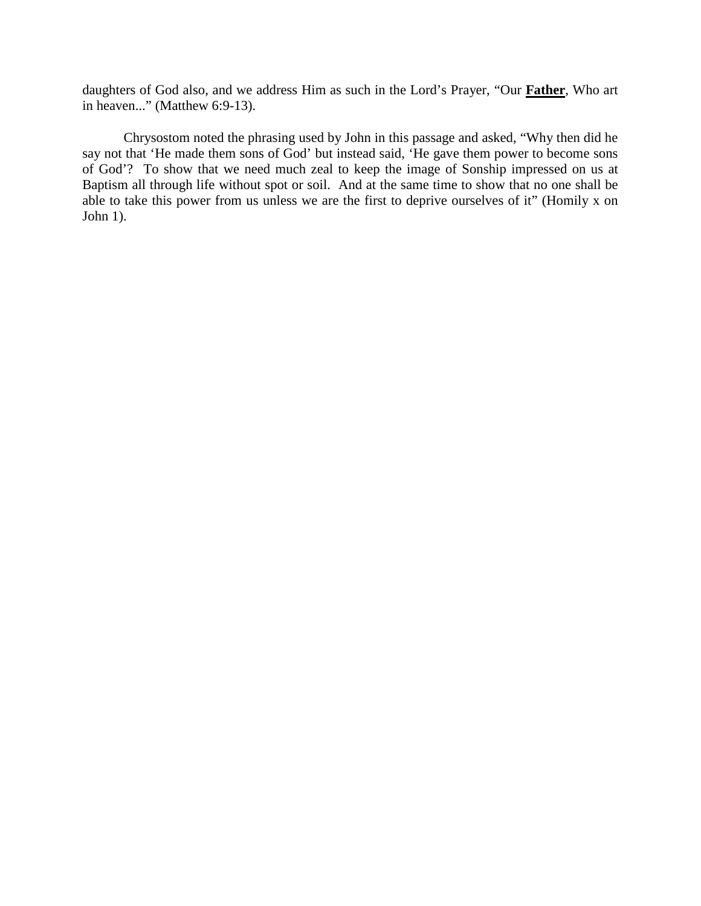daughters of God also, and we address Him as such in the Lord's Prayer, "Our **Father**, Who art in heaven..." (Matthew 6:9-13).

Chrysostom noted the phrasing used by John in this passage and asked, "Why then did he say not that 'He made them sons of God' but instead said, 'He gave them power to become sons of God'? To show that we need much zeal to keep the image of Sonship impressed on us at Baptism all through life without spot or soil. And at the same time to show that no one shall be able to take this power from us unless we are the first to deprive ourselves of it" (Homily x on John 1).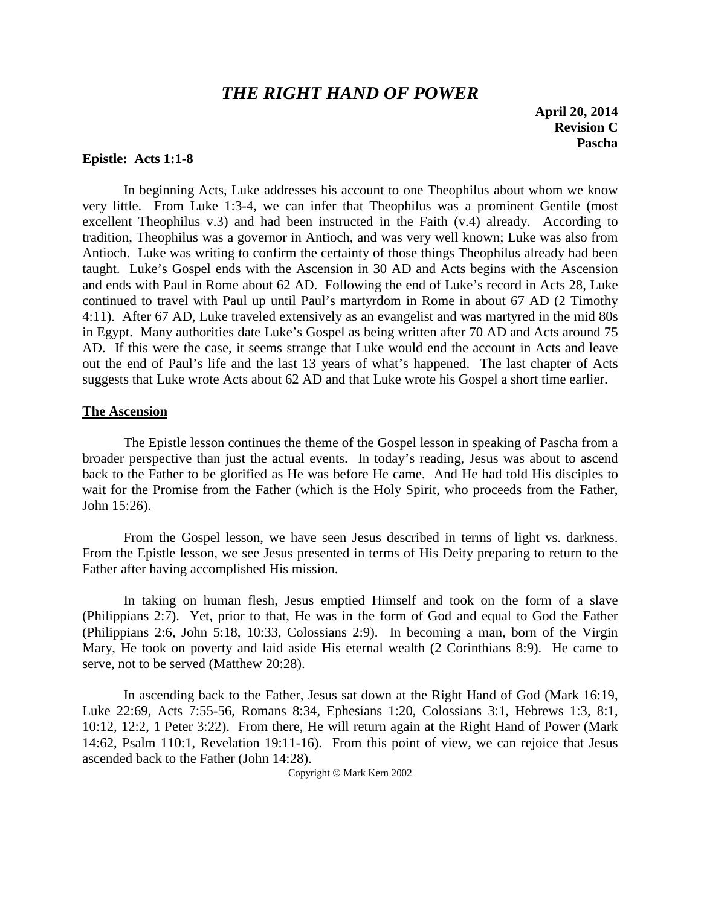# *THE RIGHT HAND OF POWER*

**April 20, 2014 Revision C Pascha**

### **Epistle: Acts 1:1-8**

In beginning Acts, Luke addresses his account to one Theophilus about whom we know very little. From Luke 1:3-4, we can infer that Theophilus was a prominent Gentile (most excellent Theophilus v.3) and had been instructed in the Faith (v.4) already. According to tradition, Theophilus was a governor in Antioch, and was very well known; Luke was also from Antioch. Luke was writing to confirm the certainty of those things Theophilus already had been taught. Luke's Gospel ends with the Ascension in 30 AD and Acts begins with the Ascension and ends with Paul in Rome about 62 AD. Following the end of Luke's record in Acts 28, Luke continued to travel with Paul up until Paul's martyrdom in Rome in about 67 AD (2 Timothy 4:11). After 67 AD, Luke traveled extensively as an evangelist and was martyred in the mid 80s in Egypt. Many authorities date Luke's Gospel as being written after 70 AD and Acts around 75 AD. If this were the case, it seems strange that Luke would end the account in Acts and leave out the end of Paul's life and the last 13 years of what's happened. The last chapter of Acts suggests that Luke wrote Acts about 62 AD and that Luke wrote his Gospel a short time earlier.

#### **The Ascension**

The Epistle lesson continues the theme of the Gospel lesson in speaking of Pascha from a broader perspective than just the actual events. In today's reading, Jesus was about to ascend back to the Father to be glorified as He was before He came. And He had told His disciples to wait for the Promise from the Father (which is the Holy Spirit, who proceeds from the Father, John 15:26).

From the Gospel lesson, we have seen Jesus described in terms of light vs. darkness. From the Epistle lesson, we see Jesus presented in terms of His Deity preparing to return to the Father after having accomplished His mission.

In taking on human flesh, Jesus emptied Himself and took on the form of a slave (Philippians 2:7). Yet, prior to that, He was in the form of God and equal to God the Father (Philippians 2:6, John 5:18, 10:33, Colossians 2:9). In becoming a man, born of the Virgin Mary, He took on poverty and laid aside His eternal wealth (2 Corinthians 8:9). He came to serve, not to be served (Matthew 20:28).

In ascending back to the Father, Jesus sat down at the Right Hand of God (Mark 16:19, Luke 22:69, Acts 7:55-56, Romans 8:34, Ephesians 1:20, Colossians 3:1, Hebrews 1:3, 8:1, 10:12, 12:2, 1 Peter 3:22). From there, He will return again at the Right Hand of Power (Mark 14:62, Psalm 110:1, Revelation 19:11-16). From this point of view, we can rejoice that Jesus ascended back to the Father (John 14:28).

Copyright © Mark Kern 2002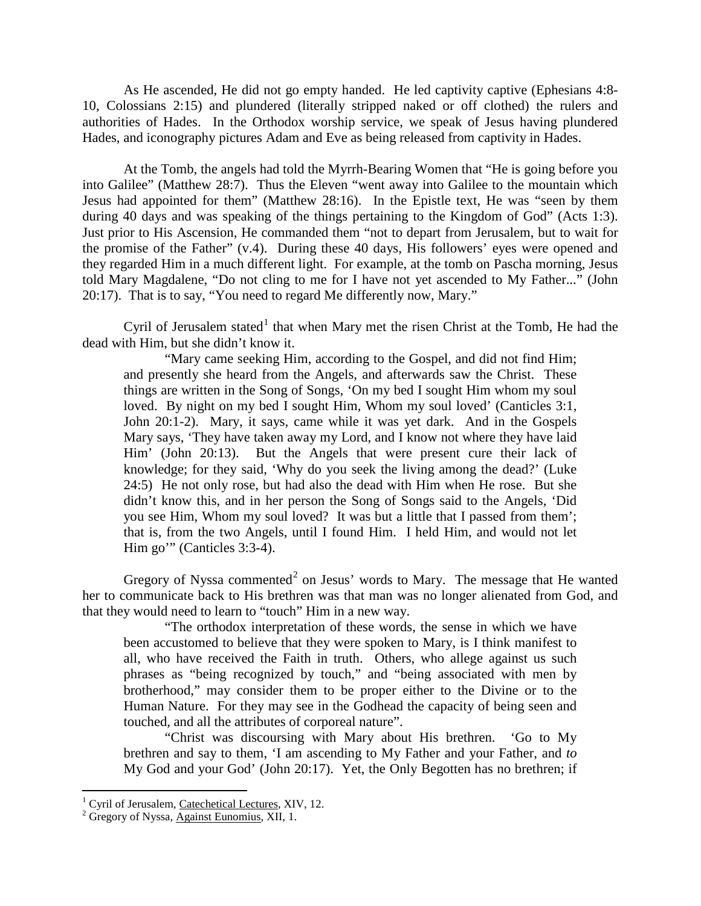As He ascended, He did not go empty handed. He led captivity captive (Ephesians 4:8- 10, Colossians 2:15) and plundered (literally stripped naked or off clothed) the rulers and authorities of Hades. In the Orthodox worship service, we speak of Jesus having plundered Hades, and iconography pictures Adam and Eve as being released from captivity in Hades.

At the Tomb, the angels had told the Myrrh-Bearing Women that "He is going before you into Galilee" (Matthew 28:7). Thus the Eleven "went away into Galilee to the mountain which Jesus had appointed for them" (Matthew 28:16). In the Epistle text, He was "seen by them during 40 days and was speaking of the things pertaining to the Kingdom of God" (Acts 1:3). Just prior to His Ascension, He commanded them "not to depart from Jerusalem, but to wait for the promise of the Father" (v.4). During these 40 days, His followers' eyes were opened and they regarded Him in a much different light. For example, at the tomb on Pascha morning, Jesus told Mary Magdalene, "Do not cling to me for I have not yet ascended to My Father..." (John 20:17). That is to say, "You need to regard Me differently now, Mary."

Cyril of Jerusalem stated<sup>[1](#page-7-0)</sup> that when Mary met the risen Christ at the Tomb, He had the dead with Him, but she didn't know it.

"Mary came seeking Him, according to the Gospel, and did not find Him; and presently she heard from the Angels, and afterwards saw the Christ. These things are written in the Song of Songs, 'On my bed I sought Him whom my soul loved. By night on my bed I sought Him, Whom my soul loved' (Canticles 3:1, John 20:1-2). Mary, it says, came while it was yet dark. And in the Gospels Mary says, 'They have taken away my Lord, and I know not where they have laid Him' (John 20:13). But the Angels that were present cure their lack of knowledge; for they said, 'Why do you seek the living among the dead?' (Luke 24:5) He not only rose, but had also the dead with Him when He rose. But she didn't know this, and in her person the Song of Songs said to the Angels, 'Did you see Him, Whom my soul loved? It was but a little that I passed from them'; that is, from the two Angels, until I found Him. I held Him, and would not let Him go'" (Canticles 3:3-4).

Gregory of Nyssa commented<sup>[2](#page-7-1)</sup> on Jesus' words to Mary. The message that He wanted her to communicate back to His brethren was that man was no longer alienated from God, and that they would need to learn to "touch" Him in a new way.

"The orthodox interpretation of these words, the sense in which we have been accustomed to believe that they were spoken to Mary, is I think manifest to all, who have received the Faith in truth. Others, who allege against us such phrases as "being recognized by touch," and "being associated with men by brotherhood," may consider them to be proper either to the Divine or to the Human Nature. For they may see in the Godhead the capacity of being seen and touched, and all the attributes of corporeal nature".

"Christ was discoursing with Mary about His brethren. 'Go to My brethren and say to them, 'I am ascending to My Father and your Father, and *to* My God and your God' (John 20:17). Yet, the Only Begotten has no brethren; if

<span id="page-7-0"></span><sup>&</sup>lt;sup>1</sup> Cyril of Jerusalem, Catechetical Lectures, XIV, 12. <sup>2</sup> Gregory of Nyssa, Against Eunomius, XII, 1.

<span id="page-7-1"></span>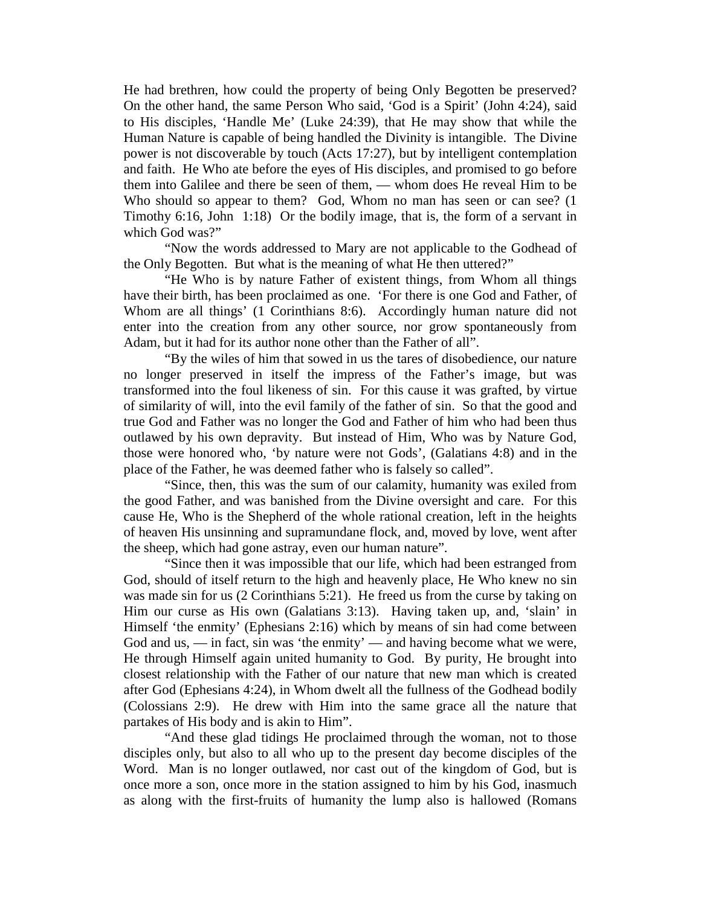He had brethren, how could the property of being Only Begotten be preserved? On the other hand, the same Person Who said, 'God is a Spirit' (John 4:24), said to His disciples, 'Handle Me' (Luke 24:39), that He may show that while the Human Nature is capable of being handled the Divinity is intangible. The Divine power is not discoverable by touch (Acts 17:27), but by intelligent contemplation and faith. He Who ate before the eyes of His disciples, and promised to go before them into Galilee and there be seen of them, — whom does He reveal Him to be Who should so appear to them? God, Whom no man has seen or can see? (1 Timothy 6:16, John 1:18) Or the bodily image, that is, the form of a servant in which God was?"

"Now the words addressed to Mary are not applicable to the Godhead of the Only Begotten. But what is the meaning of what He then uttered?"

"He Who is by nature Father of existent things, from Whom all things have their birth, has been proclaimed as one. 'For there is one God and Father, of Whom are all things' (1 Corinthians 8:6). Accordingly human nature did not enter into the creation from any other source, nor grow spontaneously from Adam, but it had for its author none other than the Father of all".

"By the wiles of him that sowed in us the tares of disobedience, our nature no longer preserved in itself the impress of the Father's image, but was transformed into the foul likeness of sin. For this cause it was grafted, by virtue of similarity of will, into the evil family of the father of sin. So that the good and true God and Father was no longer the God and Father of him who had been thus outlawed by his own depravity. But instead of Him, Who was by Nature God, those were honored who, 'by nature were not Gods', (Galatians 4:8) and in the place of the Father, he was deemed father who is falsely so called".

"Since, then, this was the sum of our calamity, humanity was exiled from the good Father, and was banished from the Divine oversight and care. For this cause He, Who is the Shepherd of the whole rational creation, left in the heights of heaven His unsinning and supramundane flock, and, moved by love, went after the sheep, which had gone astray, even our human nature".

"Since then it was impossible that our life, which had been estranged from God, should of itself return to the high and heavenly place, He Who knew no sin was made sin for us (2 Corinthians 5:21). He freed us from the curse by taking on Him our curse as His own (Galatians 3:13). Having taken up, and, 'slain' in Himself 'the enmity' (Ephesians 2:16) which by means of sin had come between God and us,  $\frac{1}{\pi}$  in fact, sin was 'the enmity'  $\frac{1}{\pi}$  and having become what we were, He through Himself again united humanity to God. By purity, He brought into closest relationship with the Father of our nature that new man which is created after God (Ephesians 4:24), in Whom dwelt all the fullness of the Godhead bodily (Colossians 2:9). He drew with Him into the same grace all the nature that partakes of His body and is akin to Him".

"And these glad tidings He proclaimed through the woman, not to those disciples only, but also to all who up to the present day become disciples of the Word. Man is no longer outlawed, nor cast out of the kingdom of God, but is once more a son, once more in the station assigned to him by his God, inasmuch as along with the first-fruits of humanity the lump also is hallowed (Romans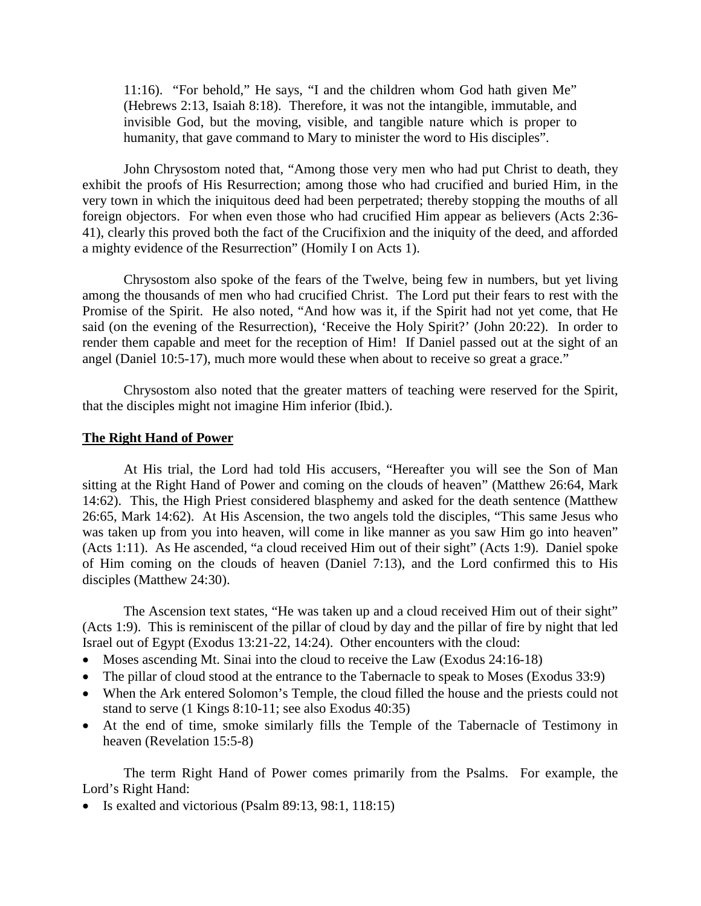11:16). "For behold," He says, "I and the children whom God hath given Me" (Hebrews 2:13, Isaiah 8:18). Therefore, it was not the intangible, immutable, and invisible God, but the moving, visible, and tangible nature which is proper to humanity, that gave command to Mary to minister the word to His disciples".

John Chrysostom noted that, "Among those very men who had put Christ to death, they exhibit the proofs of His Resurrection; among those who had crucified and buried Him, in the very town in which the iniquitous deed had been perpetrated; thereby stopping the mouths of all foreign objectors. For when even those who had crucified Him appear as believers (Acts 2:36- 41), clearly this proved both the fact of the Crucifixion and the iniquity of the deed, and afforded a mighty evidence of the Resurrection" (Homily I on Acts 1).

Chrysostom also spoke of the fears of the Twelve, being few in numbers, but yet living among the thousands of men who had crucified Christ. The Lord put their fears to rest with the Promise of the Spirit. He also noted, "And how was it, if the Spirit had not yet come, that He said (on the evening of the Resurrection), 'Receive the Holy Spirit?' (John 20:22). In order to render them capable and meet for the reception of Him! If Daniel passed out at the sight of an angel (Daniel 10:5-17), much more would these when about to receive so great a grace."

Chrysostom also noted that the greater matters of teaching were reserved for the Spirit, that the disciples might not imagine Him inferior (Ibid.).

#### **The Right Hand of Power**

At His trial, the Lord had told His accusers, "Hereafter you will see the Son of Man sitting at the Right Hand of Power and coming on the clouds of heaven" (Matthew 26:64, Mark 14:62). This, the High Priest considered blasphemy and asked for the death sentence (Matthew 26:65, Mark 14:62). At His Ascension, the two angels told the disciples, "This same Jesus who was taken up from you into heaven, will come in like manner as you saw Him go into heaven" (Acts 1:11). As He ascended, "a cloud received Him out of their sight" (Acts 1:9). Daniel spoke of Him coming on the clouds of heaven (Daniel 7:13), and the Lord confirmed this to His disciples (Matthew 24:30).

The Ascension text states, "He was taken up and a cloud received Him out of their sight" (Acts 1:9). This is reminiscent of the pillar of cloud by day and the pillar of fire by night that led Israel out of Egypt (Exodus 13:21-22, 14:24). Other encounters with the cloud:

- Moses ascending Mt. Sinai into the cloud to receive the Law (Exodus 24:16-18)
- The pillar of cloud stood at the entrance to the Tabernacle to speak to Moses (Exodus 33:9)
- When the Ark entered Solomon's Temple, the cloud filled the house and the priests could not stand to serve (1 Kings 8:10-11; see also Exodus 40:35)
- At the end of time, smoke similarly fills the Temple of the Tabernacle of Testimony in heaven (Revelation 15:5-8)

The term Right Hand of Power comes primarily from the Psalms. For example, the Lord's Right Hand:

• Is exalted and victorious (Psalm 89:13, 98:1, 118:15)